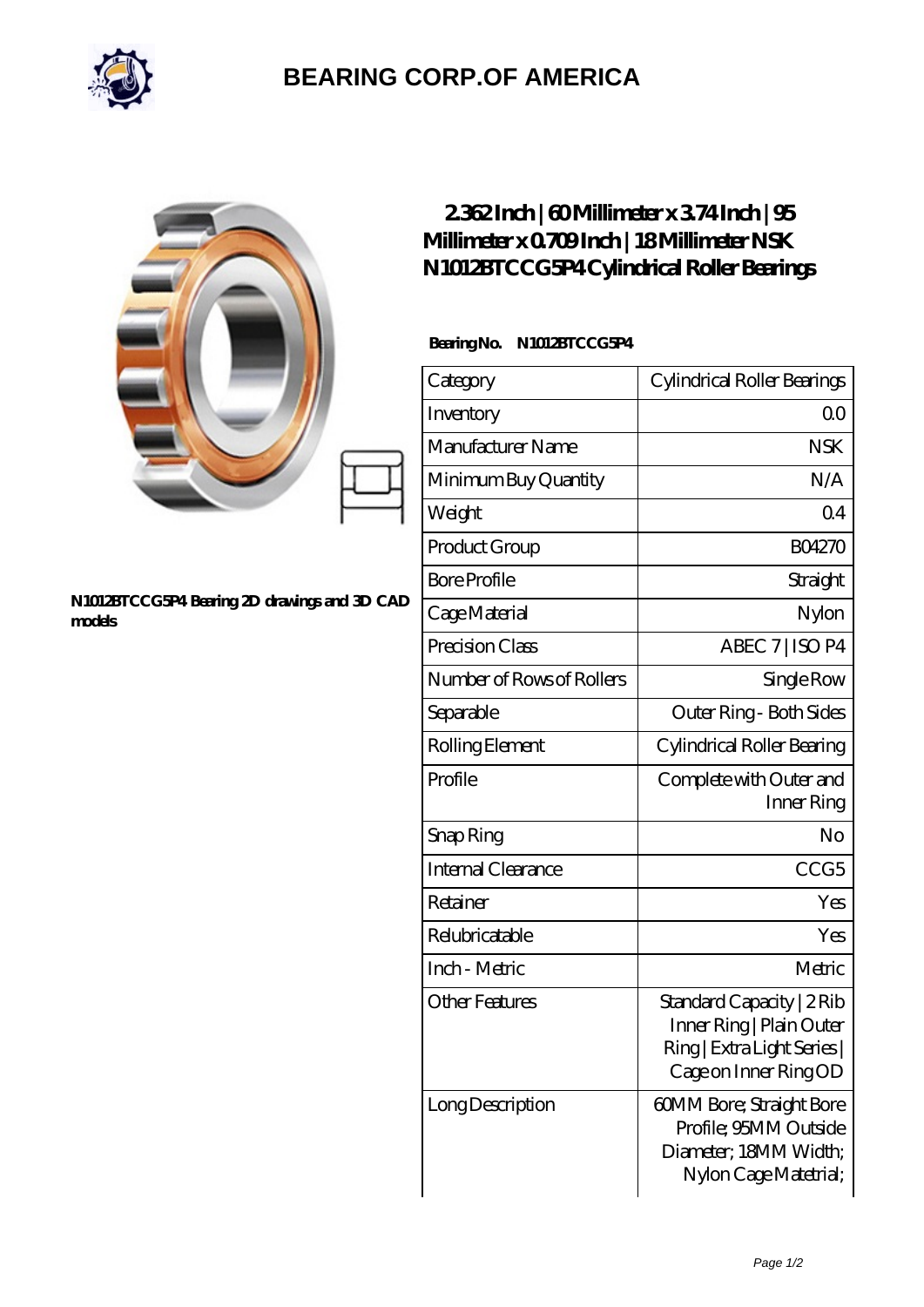

## **[BEARING CORP.OF AMERICA](https://m.bluemondayreview.com)**

|                                                        | 2362Inch   60Millimeter x 374Inch   95<br>Millimeter x 0709Inch   18Millimeter NSK<br>N1012BTCCG5P4Cylindrical Roller Bearings |                                                                                                              |
|--------------------------------------------------------|--------------------------------------------------------------------------------------------------------------------------------|--------------------------------------------------------------------------------------------------------------|
| N1012BTCCG5P4 Bearing 2D drawings and 3D CAD<br>models | BearingNo.<br>N1012BTCCG5P4                                                                                                    |                                                                                                              |
|                                                        | Category                                                                                                                       | Cylindrical Roller Bearings                                                                                  |
|                                                        | Inventory                                                                                                                      | 0 <sup>0</sup>                                                                                               |
|                                                        | Manufacturer Name                                                                                                              | <b>NSK</b>                                                                                                   |
|                                                        | Minimum Buy Quantity                                                                                                           | N/A                                                                                                          |
|                                                        | Weight                                                                                                                         | Q <sub>4</sub>                                                                                               |
|                                                        | Product Group                                                                                                                  | <b>BO4270</b>                                                                                                |
|                                                        | <b>Bore Profile</b>                                                                                                            | Straight                                                                                                     |
|                                                        | Cage Material                                                                                                                  | Nylon                                                                                                        |
|                                                        | Precision Class                                                                                                                | ABEC 7   ISO P4                                                                                              |
|                                                        | Number of Rows of Rollers                                                                                                      | Single Row                                                                                                   |
|                                                        | Separable                                                                                                                      | Outer Ring - Both Sides                                                                                      |
|                                                        | Rolling Element                                                                                                                | Cylindrical Roller Bearing                                                                                   |
|                                                        | Profile                                                                                                                        | Complete with Outer and<br>Inner Ring                                                                        |
|                                                        | Snap Ring                                                                                                                      | No                                                                                                           |
|                                                        | Internal Clearance                                                                                                             | CCG5                                                                                                         |
|                                                        | Retainer                                                                                                                       | Yes                                                                                                          |
|                                                        | Relubricatable                                                                                                                 | Yes                                                                                                          |
|                                                        | Inch - Metric                                                                                                                  | Metric                                                                                                       |
|                                                        | <b>Other Features</b>                                                                                                          | Standard Capacity   2Rib<br>Inner Ring   Plain Outer<br>Ring   Extra Light Series  <br>Cage on Inner Ring OD |
|                                                        | Long Description                                                                                                               | 60MM Bore; Straight Bore<br>Profile; 95MM Outside<br>Diameter; 18MM Width;<br>Nylon Cage Matetrial;          |